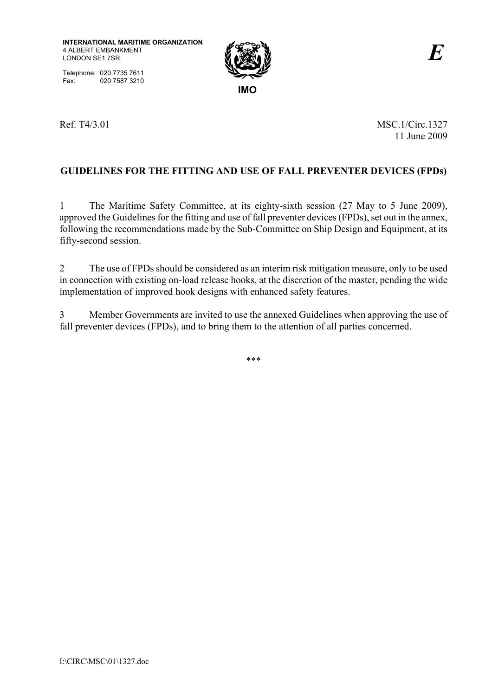Telephone: 020 7735 7611 Fax: 020 7587 3210



Ref. T4/3.01 MSC.1/Circ.1327 11 June 2009

# **GUIDELINES FOR THE FITTING AND USE OF FALL PREVENTER DEVICES (FPDs)**

1 The Maritime Safety Committee, at its eighty-sixth session (27 May to 5 June 2009), approved the Guidelines for the fitting and use of fall preventer devices (FPDs), set out in the annex, following the recommendations made by the Sub-Committee on Ship Design and Equipment, at its fifty-second session.

2 The use of FPDs should be considered as an interim risk mitigation measure, only to be used in connection with existing on-load release hooks, at the discretion of the master, pending the wide implementation of improved hook designs with enhanced safety features.

3 Member Governments are invited to use the annexed Guidelines when approving the use of fall preventer devices (FPDs), and to bring them to the attention of all parties concerned.

\*\*\*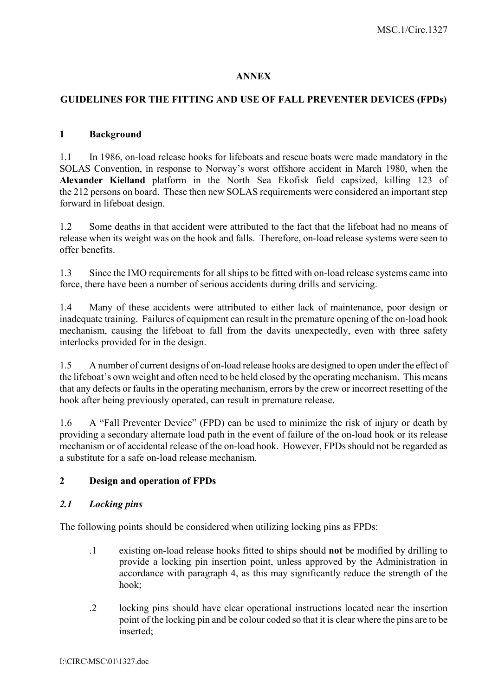#### **ANNEX**

### **GUIDELINES FOR THE FITTING AND USE OF FALL PREVENTER DEVICES (FPDs)**

#### **1 Background**

1.1 In 1986, on-load release hooks for lifeboats and rescue boats were made mandatory in the SOLAS Convention, in response to Norway's worst offshore accident in March 1980, when the **Alexander Kielland** platform in the North Sea Ekofisk field capsized, killing 123 of the 212 persons on board. These then new SOLAS requirements were considered an important step forward in lifeboat design.

1.2 Some deaths in that accident were attributed to the fact that the lifeboat had no means of release when its weight was on the hook and falls. Therefore, on-load release systems were seen to offer benefits.

1.3 Since the IMO requirements for all ships to be fitted with on-load release systems came into force, there have been a number of serious accidents during drills and servicing.

1.4 Many of these accidents were attributed to either lack of maintenance, poor design or inadequate training. Failures of equipment can result in the premature opening of the on-load hook mechanism, causing the lifeboat to fall from the davits unexpectedly, even with three safety interlocks provided for in the design.

1.5 A number of current designs of on-load release hooks are designed to open under the effect of the lifeboat's own weight and often need to be held closed by the operating mechanism. This means that any defects or faults in the operating mechanism, errors by the crew or incorrect resetting of the hook after being previously operated, can result in premature release.

1.6 A "Fall Preventer Device" (FPD) can be used to minimize the risk of injury or death by providing a secondary alternate load path in the event of failure of the on-load hook or its release mechanism or of accidental release of the on-load hook. However, FPDs should not be regarded as a substitute for a safe on-load release mechanism.

### **2 Design and operation of FPDs**

#### *2.1 Locking pins*

The following points should be considered when utilizing locking pins as FPDs:

- .1 existing on-load release hooks fitted to ships should **not** be modified by drilling to provide a locking pin insertion point, unless approved by the Administration in accordance with paragraph 4, as this may significantly reduce the strength of the hook;
- .2 locking pins should have clear operational instructions located near the insertion point of the locking pin and be colour coded so that it is clear where the pins are to be inserted;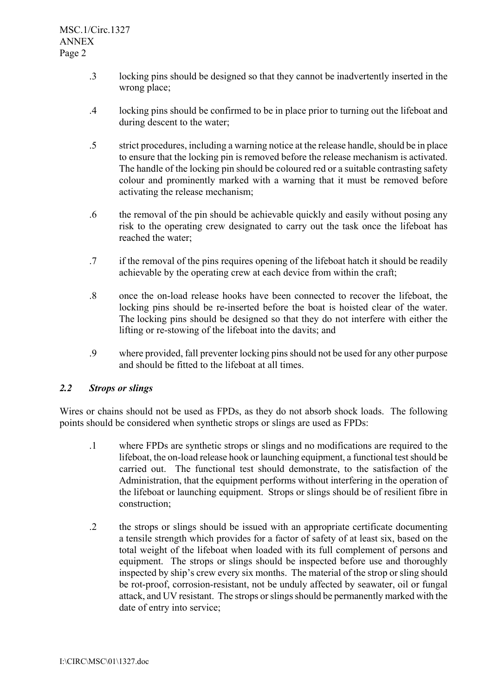- .3 locking pins should be designed so that they cannot be inadvertently inserted in the wrong place;
- .4 locking pins should be confirmed to be in place prior to turning out the lifeboat and during descent to the water;
- .5 strict procedures, including a warning notice at the release handle, should be in place to ensure that the locking pin is removed before the release mechanism is activated. The handle of the locking pin should be coloured red or a suitable contrasting safety colour and prominently marked with a warning that it must be removed before activating the release mechanism;
- .6 the removal of the pin should be achievable quickly and easily without posing any risk to the operating crew designated to carry out the task once the lifeboat has reached the water;
- .7 if the removal of the pins requires opening of the lifeboat hatch it should be readily achievable by the operating crew at each device from within the craft;
- .8 once the on-load release hooks have been connected to recover the lifeboat, the locking pins should be re-inserted before the boat is hoisted clear of the water. The locking pins should be designed so that they do not interfere with either the lifting or re-stowing of the lifeboat into the davits; and
- .9 where provided, fall preventer locking pins should not be used for any other purpose and should be fitted to the lifeboat at all times.

### *2.2 Strops or slings*

Wires or chains should not be used as FPDs, as they do not absorb shock loads. The following points should be considered when synthetic strops or slings are used as FPDs:

- .1 where FPDs are synthetic strops or slings and no modifications are required to the lifeboat, the on-load release hook or launching equipment, a functional test should be carried out. The functional test should demonstrate, to the satisfaction of the Administration, that the equipment performs without interfering in the operation of the lifeboat or launching equipment. Strops or slings should be of resilient fibre in construction;
- .2 the strops or slings should be issued with an appropriate certificate documenting a tensile strength which provides for a factor of safety of at least six, based on the total weight of the lifeboat when loaded with its full complement of persons and equipment. The strops or slings should be inspected before use and thoroughly inspected by ship's crew every six months. The material of the strop or sling should be rot-proof, corrosion-resistant, not be unduly affected by seawater, oil or fungal attack, and UV resistant. The strops or slings should be permanently marked with the date of entry into service;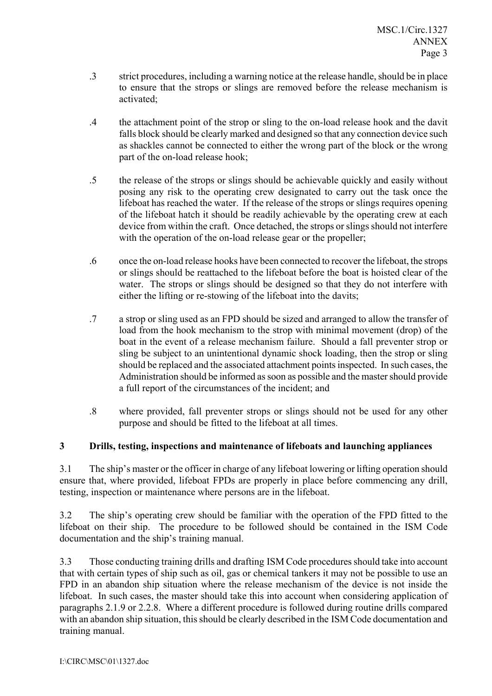- .3 strict procedures, including a warning notice at the release handle, should be in place to ensure that the strops or slings are removed before the release mechanism is activated;
- .4 the attachment point of the strop or sling to the on-load release hook and the davit falls block should be clearly marked and designed so that any connection device such as shackles cannot be connected to either the wrong part of the block or the wrong part of the on-load release hook;
- .5 the release of the strops or slings should be achievable quickly and easily without posing any risk to the operating crew designated to carry out the task once the lifeboat has reached the water. If the release of the strops or slings requires opening of the lifeboat hatch it should be readily achievable by the operating crew at each device from within the craft. Once detached, the strops or slings should not interfere with the operation of the on-load release gear or the propeller;
- .6 once the on-load release hooks have been connected to recover the lifeboat, the strops or slings should be reattached to the lifeboat before the boat is hoisted clear of the water. The strops or slings should be designed so that they do not interfere with either the lifting or re-stowing of the lifeboat into the davits;
- .7 a strop or sling used as an FPD should be sized and arranged to allow the transfer of load from the hook mechanism to the strop with minimal movement (drop) of the boat in the event of a release mechanism failure. Should a fall preventer strop or sling be subject to an unintentional dynamic shock loading, then the strop or sling should be replaced and the associated attachment points inspected. In such cases, the Administration should be informed as soon as possible and the master should provide a full report of the circumstances of the incident; and
- .8 where provided, fall preventer strops or slings should not be used for any other purpose and should be fitted to the lifeboat at all times.

# **3 Drills, testing, inspections and maintenance of lifeboats and launching appliances**

3.1 The ship's master or the officer in charge of any lifeboat lowering or lifting operation should ensure that, where provided, lifeboat FPDs are properly in place before commencing any drill, testing, inspection or maintenance where persons are in the lifeboat.

3.2 The ship's operating crew should be familiar with the operation of the FPD fitted to the lifeboat on their ship. The procedure to be followed should be contained in the ISM Code documentation and the ship's training manual.

3.3 Those conducting training drills and drafting ISM Code procedures should take into account that with certain types of ship such as oil, gas or chemical tankers it may not be possible to use an FPD in an abandon ship situation where the release mechanism of the device is not inside the lifeboat. In such cases, the master should take this into account when considering application of paragraphs 2.1.9 or 2.2.8. Where a different procedure is followed during routine drills compared with an abandon ship situation, this should be clearly described in the ISM Code documentation and training manual.